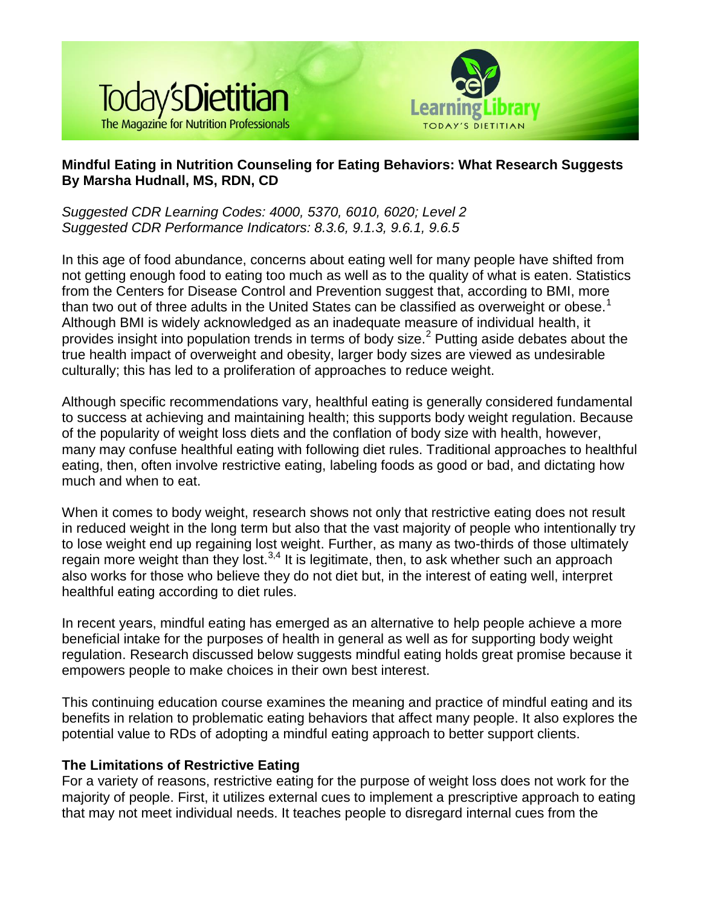



# **Mindful Eating in Nutrition Counseling for Eating Behaviors: What Research Suggests By Marsha Hudnall, MS, RDN, CD**

*Suggested CDR Learning Codes: 4000, 5370, 6010, 6020; Level 2 Suggested CDR Performance Indicators: 8.3.6, 9.1.3, 9.6.1, 9.6.5*

In this age of food abundance, concerns about eating well for many people have shifted from not getting enough food to eating too much as well as to the quality of what is eaten. Statistics from the Centers for Disease Control and Prevention suggest that, according to BMI, more than two out of three adults in the United States can be classified as overweight or obese.<sup>1</sup> Although BMI is widely acknowledged as an inadequate measure of individual health, it provides insight into population trends in terms of body size. $<sup>2</sup>$  Putting aside debates about the</sup> true health impact of overweight and obesity, larger body sizes are viewed as undesirable culturally; this has led to a proliferation of approaches to reduce weight.

Although specific recommendations vary, healthful eating is generally considered fundamental to success at achieving and maintaining health; this supports body weight regulation. Because of the popularity of weight loss diets and the conflation of body size with health, however, many may confuse healthful eating with following diet rules. Traditional approaches to healthful eating, then, often involve restrictive eating, labeling foods as good or bad, and dictating how much and when to eat.

When it comes to body weight, research shows not only that restrictive eating does not result in reduced weight in the long term but also that the vast majority of people who intentionally try to lose weight end up regaining lost weight. Further, as many as two-thirds of those ultimately regain more weight than they lost. $3,4$  It is legitimate, then, to ask whether such an approach also works for those who believe they do not diet but, in the interest of eating well, interpret healthful eating according to diet rules.

In recent years, mindful eating has emerged as an alternative to help people achieve a more beneficial intake for the purposes of health in general as well as for supporting body weight regulation. Research discussed below suggests mindful eating holds great promise because it empowers people to make choices in their own best interest.

This continuing education course examines the meaning and practice of mindful eating and its benefits in relation to problematic eating behaviors that affect many people. It also explores the potential value to RDs of adopting a mindful eating approach to better support clients.

## **The Limitations of Restrictive Eating**

For a variety of reasons, restrictive eating for the purpose of weight loss does not work for the majority of people. First, it utilizes external cues to implement a prescriptive approach to eating that may not meet individual needs. It teaches people to disregard internal cues from the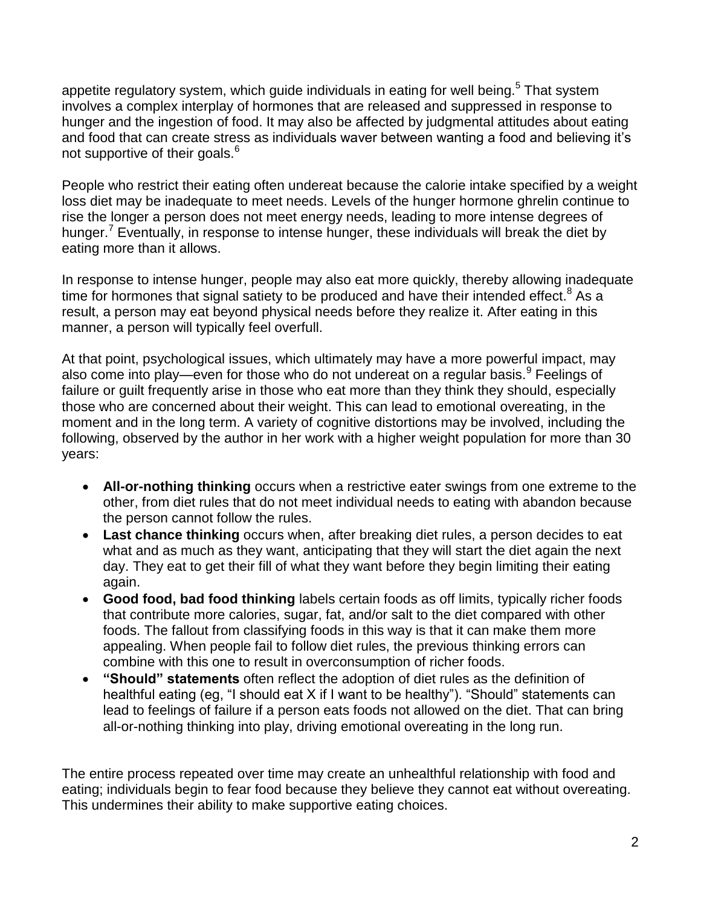appetite regulatory system, which guide individuals in eating for well being.<sup>5</sup> That system involves a complex interplay of hormones that are released and suppressed in response to hunger and the ingestion of food. It may also be affected by judgmental attitudes about eating and food that can create stress as individuals waver between wanting a food and believing it's not supportive of their goals.<sup>6</sup>

People who restrict their eating often undereat because the calorie intake specified by a weight loss diet may be inadequate to meet needs. Levels of the hunger hormone ghrelin continue to rise the longer a person does not meet energy needs, leading to more intense degrees of hunger.<sup>7</sup> Eventually, in response to intense hunger, these individuals will break the diet by eating more than it allows.

In response to intense hunger, people may also eat more quickly, thereby allowing inadequate time for hormones that signal satiety to be produced and have their intended effect.<sup>8</sup> As a result, a person may eat beyond physical needs before they realize it. After eating in this manner, a person will typically feel overfull.

At that point, psychological issues, which ultimately may have a more powerful impact, may also come into play—even for those who do not undereat on a regular basis.<sup>9</sup> Feelings of failure or guilt frequently arise in those who eat more than they think they should, especially those who are concerned about their weight. This can lead to emotional overeating, in the moment and in the long term. A variety of cognitive distortions may be involved, including the following, observed by the author in her work with a higher weight population for more than 30 years:

- **All-or-nothing thinking** occurs when a restrictive eater swings from one extreme to the other, from diet rules that do not meet individual needs to eating with abandon because the person cannot follow the rules.
- **Last chance thinking** occurs when, after breaking diet rules, a person decides to eat what and as much as they want, anticipating that they will start the diet again the next day. They eat to get their fill of what they want before they begin limiting their eating again.
- **Good food, bad food thinking** labels certain foods as off limits, typically richer foods that contribute more calories, sugar, fat, and/or salt to the diet compared with other foods. The fallout from classifying foods in this way is that it can make them more appealing. When people fail to follow diet rules, the previous thinking errors can combine with this one to result in overconsumption of richer foods.
- **"Should" statements** often reflect the adoption of diet rules as the definition of healthful eating (eg, "I should eat X if I want to be healthy"). "Should" statements can lead to feelings of failure if a person eats foods not allowed on the diet. That can bring all-or-nothing thinking into play, driving emotional overeating in the long run.

The entire process repeated over time may create an unhealthful relationship with food and eating; individuals begin to fear food because they believe they cannot eat without overeating. This undermines their ability to make supportive eating choices.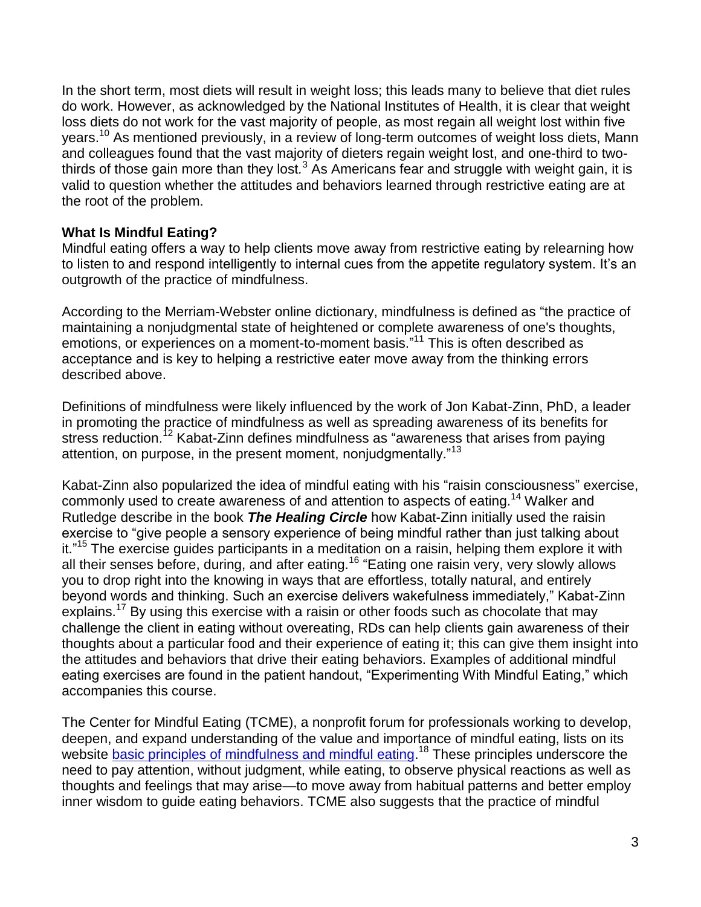In the short term, most diets will result in weight loss; this leads many to believe that diet rules do work. However, as acknowledged by the National Institutes of Health, it is clear that weight loss diets do not work for the vast majority of people, as most regain all weight lost within five years.<sup>10</sup> As mentioned previously, in a review of long-term outcomes of weight loss diets, Mann and colleagues found that the vast majority of dieters regain weight lost, and one-third to twothirds of those gain more than they lost.<sup>3</sup> As Americans fear and struggle with weight gain, it is valid to question whether the attitudes and behaviors learned through restrictive eating are at the root of the problem.

## **What Is Mindful Eating?**

Mindful eating offers a way to help clients move away from restrictive eating by relearning how to listen to and respond intelligently to internal cues from the appetite regulatory system. It's an outgrowth of the practice of mindfulness.

According to the Merriam-Webster online dictionary, mindfulness is defined as "the practice of maintaining a nonjudgmental state of heightened or complete awareness of one's thoughts, emotions, or experiences on a moment-to-moment basis."<sup>11</sup> This is often described as acceptance and is key to helping a restrictive eater move away from the thinking errors described above.

Definitions of mindfulness were likely influenced by the work of Jon Kabat-Zinn, PhD, a leader in promoting the practice of mindfulness as well as spreading awareness of its benefits for stress reduction.<sup>12</sup> Kabat-Zinn defines mindfulness as "awareness that arises from paying attention, on purpose, in the present moment, nonjudgmentally."<sup>13</sup>

Kabat-Zinn also popularized the idea of mindful eating with his "raisin consciousness" exercise, commonly used to create awareness of and attention to aspects of eating.<sup>14</sup> Walker and Rutledge describe in the book *The Healing Circle* how Kabat-Zinn initially used the raisin exercise to "give people a sensory experience of being mindful rather than just talking about it."<sup>15</sup> The exercise guides participants in a meditation on a raisin, helping them explore it with all their senses before, during, and after eating.<sup>16</sup> "Eating one raisin very, very slowly allows you to drop right into the knowing in ways that are effortless, totally natural, and entirely beyond words and thinking. Such an exercise delivers wakefulness immediately," Kabat-Zinn explains.<sup>17</sup> By using this exercise with a raisin or other foods such as chocolate that may challenge the client in eating without overeating, RDs can help clients gain awareness of their thoughts about a particular food and their experience of eating it; this can give them insight into the attitudes and behaviors that drive their eating behaviors. Examples of additional mindful eating exercises are found in the patient handout, "Experimenting With Mindful Eating," which accompanies this course.

The Center for Mindful Eating (TCME), a nonprofit forum for professionals working to develop, deepen, and expand understanding of the value and importance of mindful eating, lists on its website [basic principles of mindfulness and mindful eating.](http://thecenterformindfuleating.org/Principles-Mindful-Eating)<sup>18</sup> These principles underscore the need to pay attention, without judgment, while eating, to observe physical reactions as well as thoughts and feelings that may arise—to move away from habitual patterns and better employ inner wisdom to guide eating behaviors. TCME also suggests that the practice of mindful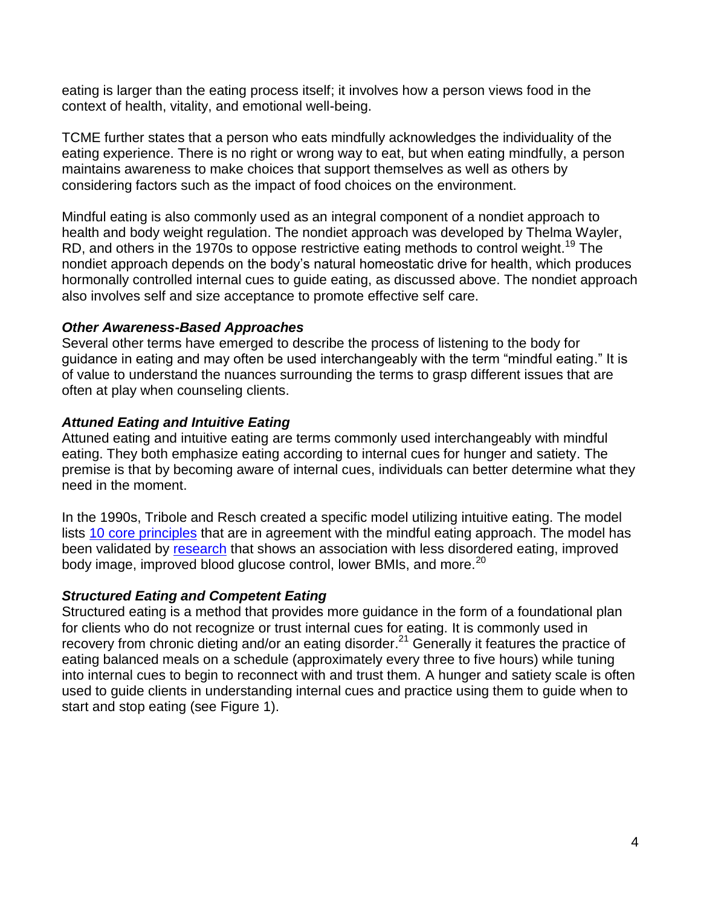eating is larger than the eating process itself; it involves how a person views food in the context of health, vitality, and emotional well-being.

TCME further states that a person who eats mindfully acknowledges the individuality of the eating experience. There is no right or wrong way to eat, but when eating mindfully, a person maintains awareness to make choices that support themselves as well as others by considering factors such as the impact of food choices on the environment.

Mindful eating is also commonly used as an integral component of a nondiet approach to health and body weight regulation. The nondiet approach was developed by Thelma Wayler, RD, and others in the 1970s to oppose restrictive eating methods to control weight.<sup>19</sup> The nondiet approach depends on the body's natural homeostatic drive for health, which produces hormonally controlled internal cues to guide eating, as discussed above. The nondiet approach also involves self and size acceptance to promote effective self care.

## *Other Awareness-Based Approaches*

Several other terms have emerged to describe the process of listening to the body for guidance in eating and may often be used interchangeably with the term "mindful eating." It is of value to understand the nuances surrounding the terms to grasp different issues that are often at play when counseling clients.

## *Attuned Eating and Intuitive Eating*

Attuned eating and intuitive eating are terms commonly used interchangeably with mindful eating. They both emphasize eating according to internal cues for hunger and satiety. The premise is that by becoming aware of internal cues, individuals can better determine what they need in the moment.

In the 1990s, Tribole and Resch created a specific model utilizing intuitive eating. The model lists [10 core principles](http://intuitiveeating.org/content/10-principles-intuitive-eating) that are in agreement with the mindful eating approach. The model has been validated by [research](http://intuitiveeating.org/content/resources) that shows an association with less disordered eating, improved body image, improved blood glucose control, lower BMIs, and more.<sup>20</sup>

## *Structured Eating and Competent Eating*

Structured eating is a method that provides more guidance in the form of a foundational plan for clients who do not recognize or trust internal cues for eating. It is commonly used in recovery from chronic dieting and/or an eating disorder.<sup>21</sup> Generally it features the practice of eating balanced meals on a schedule (approximately every three to five hours) while tuning into internal cues to begin to reconnect with and trust them. A hunger and satiety scale is often used to guide clients in understanding internal cues and practice using them to guide when to start and stop eating (see Figure 1).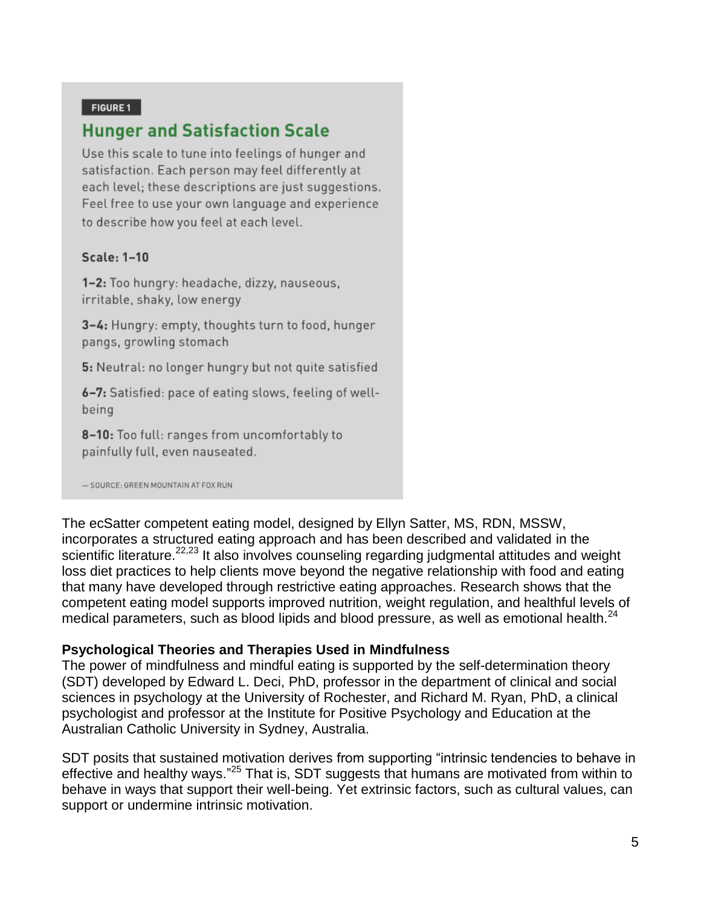#### FIGURE 1

# **Hunger and Satisfaction Scale**

Use this scale to tune into feelings of hunger and satisfaction. Each person may feel differently at each level; these descriptions are just suggestions. Feel free to use your own language and experience to describe how you feel at each level.

#### Scale: 1-10

1-2: Too hungry: headache, dizzy, nauseous, irritable, shaky, low energy

3-4: Hungry: empty, thoughts turn to food, hunger pangs, growling stomach

5: Neutral: no longer hungry but not quite satisfied

6-7: Satisfied: pace of eating slows, feeling of wellbeing

8-10: Too full: ranges from uncomfortably to painfully full, even nauseated.

- SOURCE: GREEN MOUNTAIN AT FOX RUN

The ecSatter competent eating model, designed by Ellyn Satter, MS, RDN, MSSW, incorporates a structured eating approach and has been described and validated in the scientific literature.<sup>22,23</sup> It also involves counseling regarding judgmental attitudes and weight loss diet practices to help clients move beyond the negative relationship with food and eating that many have developed through restrictive eating approaches. Research shows that the competent eating model supports improved nutrition, weight regulation, and healthful levels of medical parameters, such as blood lipids and blood pressure, as well as emotional health.<sup>24</sup>

#### **Psychological Theories and Therapies Used in Mindfulness**

The power of mindfulness and mindful eating is supported by the self-determination theory (SDT) developed by Edward L. Deci, PhD, professor in the department of clinical and social sciences in psychology at the University of Rochester, and Richard M. Ryan, PhD, a clinical psychologist and professor at the Institute for Positive Psychology and Education at the Australian Catholic University in Sydney, Australia.

SDT posits that sustained motivation derives from supporting "intrinsic tendencies to behave in effective and healthy ways."<sup>25</sup> That is, SDT suggests that humans are motivated from within to behave in ways that support their well-being. Yet extrinsic factors, such as cultural values, can support or undermine intrinsic motivation.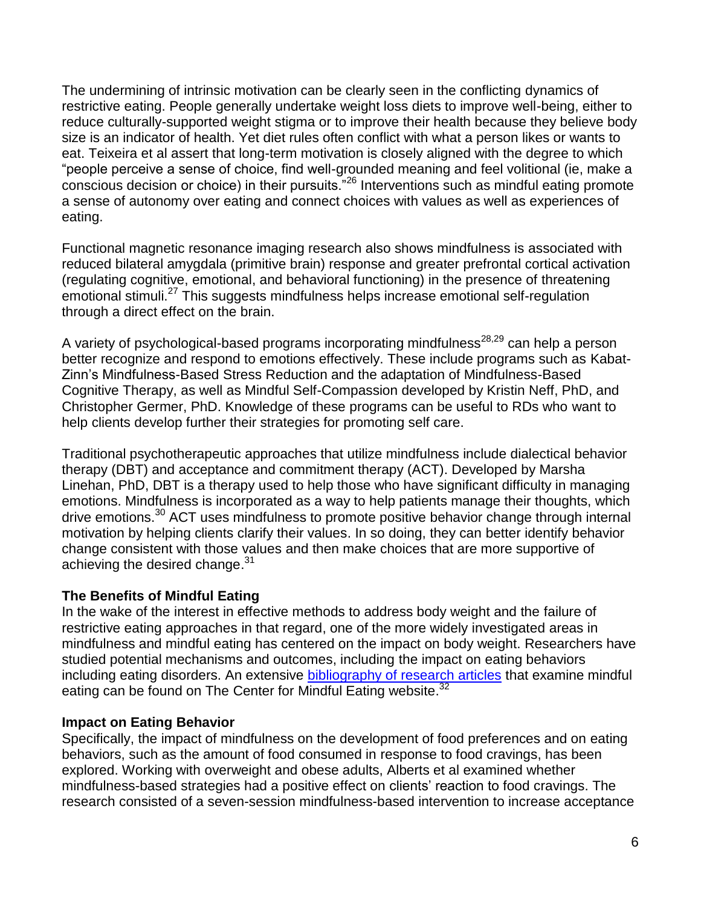The undermining of intrinsic motivation can be clearly seen in the conflicting dynamics of restrictive eating. People generally undertake weight loss diets to improve well-being, either to reduce culturally-supported weight stigma or to improve their health because they believe body size is an indicator of health. Yet diet rules often conflict with what a person likes or wants to eat. Teixeira et al assert that long-term motivation is closely aligned with the degree to which "people perceive a sense of choice, find well-grounded meaning and feel volitional (ie, make a conscious decision or choice) in their pursuits."<sup>26</sup> Interventions such as mindful eating promote a sense of autonomy over eating and connect choices with values as well as experiences of eating.

Functional magnetic resonance imaging research also shows mindfulness is associated with reduced bilateral amygdala (primitive brain) response and greater prefrontal cortical activation (regulating cognitive, emotional, and behavioral functioning) in the presence of threatening emotional stimuli.<sup>27</sup> This suggests mindfulness helps increase emotional self-regulation through a direct effect on the brain.

A variety of psychological-based programs incorporating mindfulness<sup>28,29</sup> can help a person better recognize and respond to emotions effectively. These include programs such as Kabat-Zinn's Mindfulness-Based Stress Reduction and the adaptation of Mindfulness-Based Cognitive Therapy, as well as Mindful Self-Compassion developed by Kristin Neff, PhD, and Christopher Germer, PhD. Knowledge of these programs can be useful to RDs who want to help clients develop further their strategies for promoting self care.

Traditional psychotherapeutic approaches that utilize mindfulness include dialectical behavior therapy (DBT) and acceptance and commitment therapy (ACT). Developed by Marsha Linehan, PhD, DBT is a therapy used to help those who have significant difficulty in managing emotions. Mindfulness is incorporated as a way to help patients manage their thoughts, which drive emotions.<sup>30</sup> ACT uses mindfulness to promote positive behavior change through internal motivation by helping clients clarify their values. In so doing, they can better identify behavior change consistent with those values and then make choices that are more supportive of achieving the desired change.<sup>31</sup>

# **The Benefits of Mindful Eating**

In the wake of the interest in effective methods to address body weight and the failure of restrictive eating approaches in that regard, one of the more widely investigated areas in mindfulness and mindful eating has centered on the impact on body weight. Researchers have studied potential mechanisms and outcomes, including the impact on eating behaviors including eating disorders. An extensive [bibliography of research articles](http://thecenterformindfuleating.org/research) that examine mindful eating can be found on The Center for Mindful Eating website.<sup>32</sup>

# **Impact on Eating Behavior**

Specifically, the impact of mindfulness on the development of food preferences and on eating behaviors, such as the amount of food consumed in response to food cravings, has been explored. Working with overweight and obese adults, Alberts et al examined whether mindfulness-based strategies had a positive effect on clients' reaction to food cravings. The research consisted of a seven-session mindfulness-based intervention to increase acceptance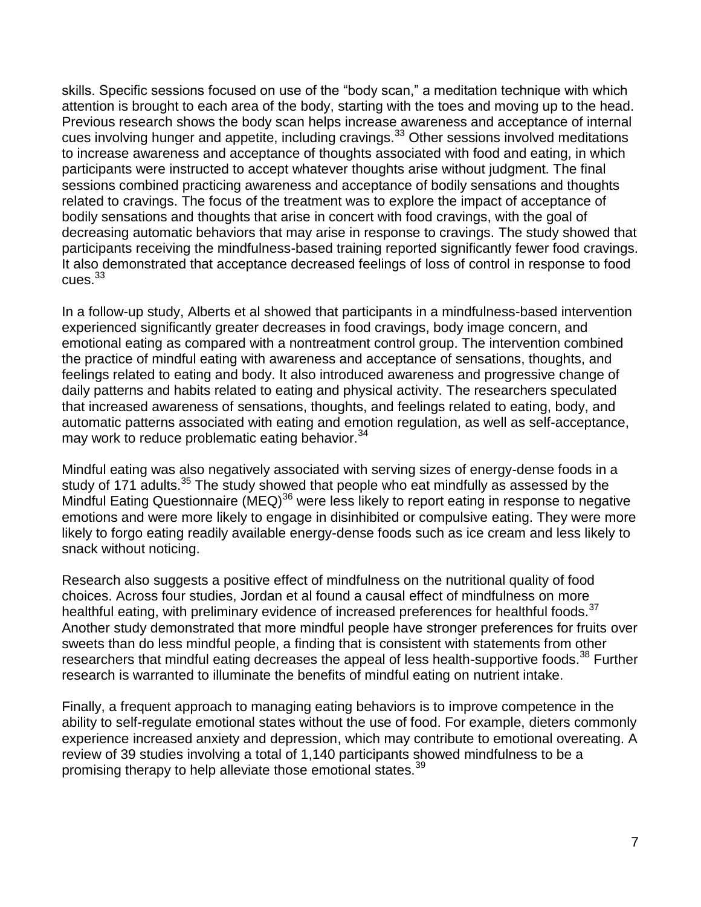skills. Specific sessions focused on use of the "body scan," a meditation technique with which attention is brought to each area of the body, starting with the toes and moving up to the head. Previous research shows the body scan helps increase awareness and acceptance of internal cues involving hunger and appetite, including cravings.<sup>33</sup> Other sessions involved meditations to increase awareness and acceptance of thoughts associated with food and eating, in which participants were instructed to accept whatever thoughts arise without judgment. The final sessions combined practicing awareness and acceptance of bodily sensations and thoughts related to cravings. The focus of the treatment was to explore the impact of acceptance of bodily sensations and thoughts that arise in concert with food cravings, with the goal of decreasing automatic behaviors that may arise in response to cravings. The study showed that participants receiving the mindfulness-based training reported significantly fewer food cravings. It also demonstrated that acceptance decreased feelings of loss of control in response to food  $cues.<sup>33</sup>$ 

In a follow-up study, Alberts et al showed that participants in a mindfulness-based intervention experienced significantly greater decreases in food cravings, body image concern, and emotional eating as compared with a nontreatment control group. The intervention combined the practice of mindful eating with awareness and acceptance of sensations, thoughts, and feelings related to eating and body. It also introduced awareness and progressive change of daily patterns and habits related to eating and physical activity. The researchers speculated that increased awareness of sensations, thoughts, and feelings related to eating, body, and automatic patterns associated with eating and emotion regulation, as well as self-acceptance, may work to reduce problematic eating behavior.<sup>34</sup>

Mindful eating was also negatively associated with serving sizes of energy-dense foods in a study of 171 adults.<sup>35</sup> The study showed that people who eat mindfully as assessed by the Mindful Eating Questionnaire (MEQ)<sup>36</sup> were less likely to report eating in response to negative emotions and were more likely to engage in disinhibited or compulsive eating. They were more likely to forgo eating readily available energy-dense foods such as ice cream and less likely to snack without noticing.

Research also suggests a positive effect of mindfulness on the nutritional quality of food choices. Across four studies, Jordan et al found a causal effect of mindfulness on more healthful eating, with preliminary evidence of increased preferences for healthful foods.<sup>37</sup> Another study demonstrated that more mindful people have stronger preferences for fruits over sweets than do less mindful people, a finding that is consistent with statements from other researchers that mindful eating decreases the appeal of less health-supportive foods.<sup>38</sup> Further research is warranted to illuminate the benefits of mindful eating on nutrient intake.

Finally, a frequent approach to managing eating behaviors is to improve competence in the ability to self-regulate emotional states without the use of food. For example, dieters commonly experience increased anxiety and depression, which may contribute to emotional overeating. A review of 39 studies involving a total of 1,140 participants showed mindfulness to be a promising therapy to help alleviate those emotional states.<sup>39</sup>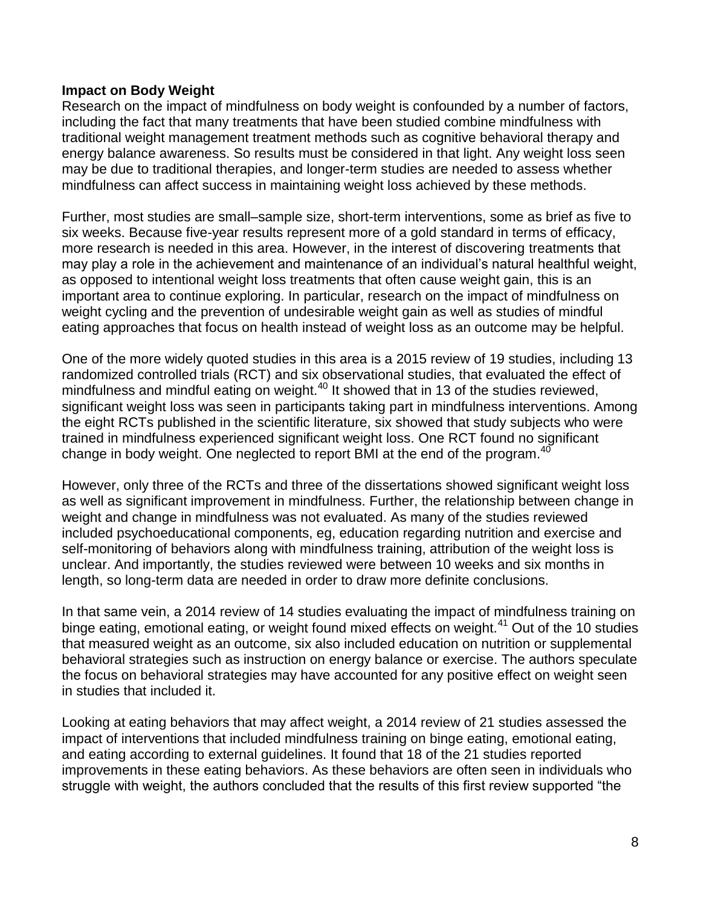## **Impact on Body Weight**

Research on the impact of mindfulness on body weight is confounded by a number of factors, including the fact that many treatments that have been studied combine mindfulness with traditional weight management treatment methods such as cognitive behavioral therapy and energy balance awareness. So results must be considered in that light. Any weight loss seen may be due to traditional therapies, and longer-term studies are needed to assess whether mindfulness can affect success in maintaining weight loss achieved by these methods.

Further, most studies are small–sample size, short-term interventions, some as brief as five to six weeks. Because five-year results represent more of a gold standard in terms of efficacy, more research is needed in this area. However, in the interest of discovering treatments that may play a role in the achievement and maintenance of an individual's natural healthful weight, as opposed to intentional weight loss treatments that often cause weight gain, this is an important area to continue exploring. In particular, research on the impact of mindfulness on weight cycling and the prevention of undesirable weight gain as well as studies of mindful eating approaches that focus on health instead of weight loss as an outcome may be helpful.

One of the more widely quoted studies in this area is a 2015 review of 19 studies, including 13 randomized controlled trials (RCT) and six observational studies, that evaluated the effect of mindfulness and mindful eating on weight.<sup>40</sup> It showed that in 13 of the studies reviewed, significant weight loss was seen in participants taking part in mindfulness interventions. Among the eight RCTs published in the scientific literature, six showed that study subjects who were trained in mindfulness experienced significant weight loss. One RCT found no significant change in body weight. One neglected to report BMI at the end of the program.<sup>40</sup>

However, only three of the RCTs and three of the dissertations showed significant weight loss as well as significant improvement in mindfulness. Further, the relationship between change in weight and change in mindfulness was not evaluated. As many of the studies reviewed included psychoeducational components, eg, education regarding nutrition and exercise and self-monitoring of behaviors along with mindfulness training, attribution of the weight loss is unclear. And importantly, the studies reviewed were between 10 weeks and six months in length, so long-term data are needed in order to draw more definite conclusions.

In that same vein, a 2014 review of 14 studies evaluating the impact of mindfulness training on binge eating, emotional eating, or weight found mixed effects on weight.<sup>41</sup> Out of the 10 studies that measured weight as an outcome, six also included education on nutrition or supplemental behavioral strategies such as instruction on energy balance or exercise. The authors speculate the focus on behavioral strategies may have accounted for any positive effect on weight seen in studies that included it.

Looking at eating behaviors that may affect weight, a 2014 review of 21 studies assessed the impact of interventions that included mindfulness training on binge eating, emotional eating, and eating according to external guidelines. It found that 18 of the 21 studies reported improvements in these eating behaviors. As these behaviors are often seen in individuals who struggle with weight, the authors concluded that the results of this first review supported "the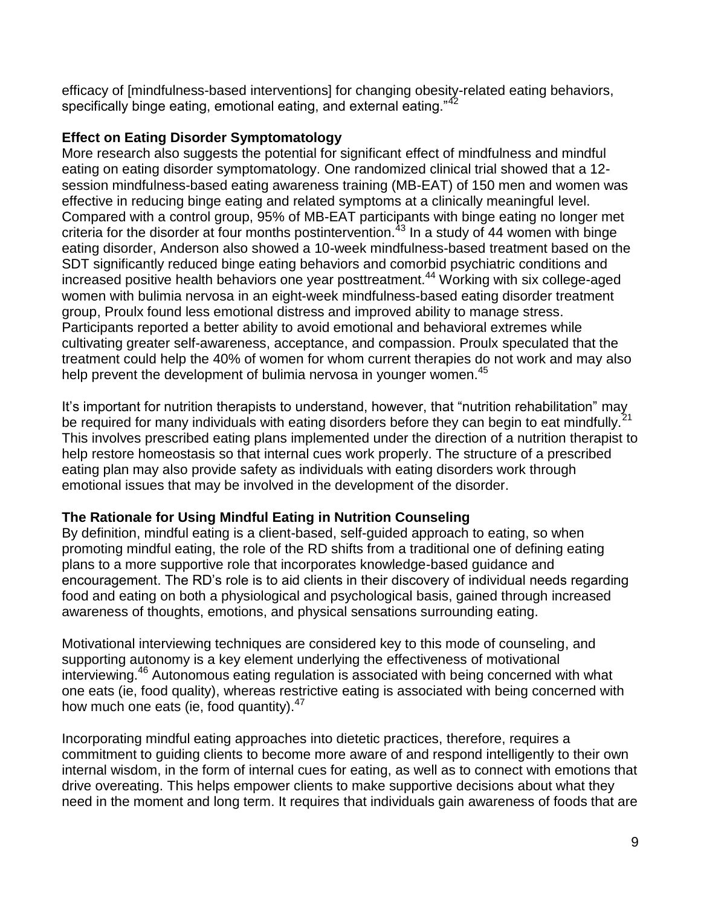efficacy of [mindfulness-based interventions] for changing obesity-related eating behaviors, specifically binge eating, emotional eating, and external eating."42

# **Effect on Eating Disorder Symptomatology**

More research also suggests the potential for significant effect of mindfulness and mindful eating on eating disorder symptomatology. One randomized clinical trial showed that a 12 session mindfulness-based eating awareness training (MB-EAT) of 150 men and women was effective in reducing binge eating and related symptoms at a clinically meaningful level. Compared with a control group, 95% of MB-EAT participants with binge eating no longer met criteria for the disorder at four months postintervention.<sup>43</sup> In a study of 44 women with binge eating disorder, Anderson also showed a 10-week mindfulness-based treatment based on the SDT significantly reduced binge eating behaviors and comorbid psychiatric conditions and increased positive health behaviors one year posttreatment.<sup>44</sup> Working with six college-aged women with bulimia nervosa in an eight-week mindfulness-based eating disorder treatment group, Proulx found less emotional distress and improved ability to manage stress. Participants reported a better ability to avoid emotional and behavioral extremes while cultivating greater self-awareness, acceptance, and compassion. Proulx speculated that the treatment could help the 40% of women for whom current therapies do not work and may also help prevent the development of bulimia nervosa in younger women.<sup>45</sup>

It's important for nutrition therapists to understand, however, that "nutrition rehabilitation" may be required for many individuals with eating disorders before they can begin to eat mindfully. This involves prescribed eating plans implemented under the direction of a nutrition therapist to help restore homeostasis so that internal cues work properly. The structure of a prescribed eating plan may also provide safety as individuals with eating disorders work through emotional issues that may be involved in the development of the disorder.

# **The Rationale for Using Mindful Eating in Nutrition Counseling**

By definition, mindful eating is a client-based, self-guided approach to eating, so when promoting mindful eating, the role of the RD shifts from a traditional one of defining eating plans to a more supportive role that incorporates knowledge-based guidance and encouragement. The RD's role is to aid clients in their discovery of individual needs regarding food and eating on both a physiological and psychological basis, gained through increased awareness of thoughts, emotions, and physical sensations surrounding eating.

Motivational interviewing techniques are considered key to this mode of counseling, and supporting autonomy is a key element underlying the effectiveness of motivational interviewing.<sup>46</sup> Autonomous eating regulation is associated with being concerned with what one eats (ie, food quality), whereas restrictive eating is associated with being concerned with how much one eats (ie, food quantity). $47$ 

Incorporating mindful eating approaches into dietetic practices, therefore, requires a commitment to guiding clients to become more aware of and respond intelligently to their own internal wisdom, in the form of internal cues for eating, as well as to connect with emotions that drive overeating. This helps empower clients to make supportive decisions about what they need in the moment and long term. It requires that individuals gain awareness of foods that are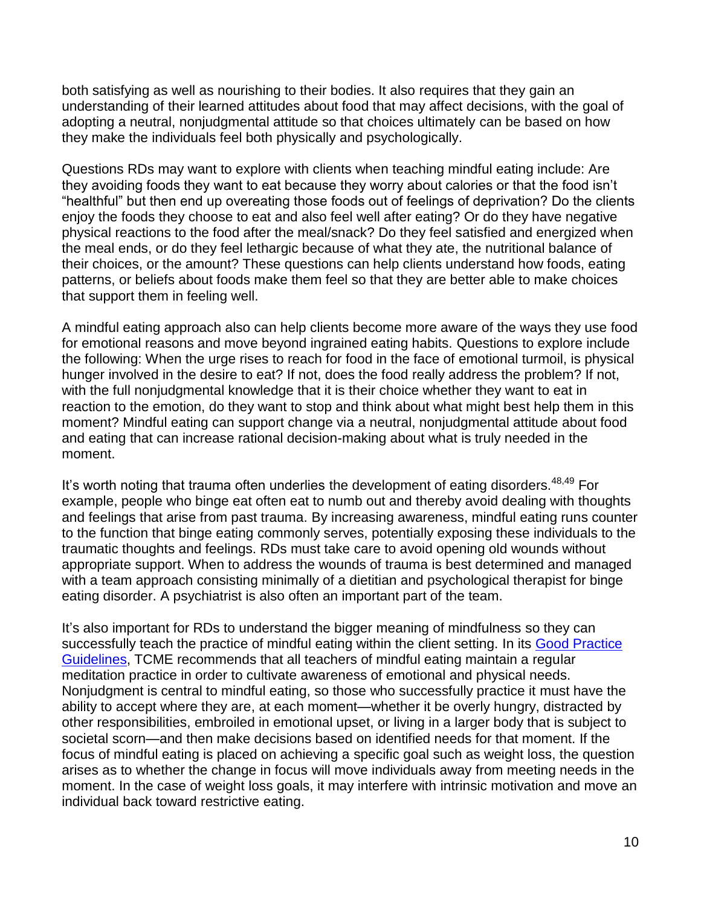both satisfying as well as nourishing to their bodies. It also requires that they gain an understanding of their learned attitudes about food that may affect decisions, with the goal of adopting a neutral, nonjudgmental attitude so that choices ultimately can be based on how they make the individuals feel both physically and psychologically.

Questions RDs may want to explore with clients when teaching mindful eating include: Are they avoiding foods they want to eat because they worry about calories or that the food isn't "healthful" but then end up overeating those foods out of feelings of deprivation? Do the clients enjoy the foods they choose to eat and also feel well after eating? Or do they have negative physical reactions to the food after the meal/snack? Do they feel satisfied and energized when the meal ends, or do they feel lethargic because of what they ate, the nutritional balance of their choices, or the amount? These questions can help clients understand how foods, eating patterns, or beliefs about foods make them feel so that they are better able to make choices that support them in feeling well.

A mindful eating approach also can help clients become more aware of the ways they use food for emotional reasons and move beyond ingrained eating habits. Questions to explore include the following: When the urge rises to reach for food in the face of emotional turmoil, is physical hunger involved in the desire to eat? If not, does the food really address the problem? If not, with the full nonjudgmental knowledge that it is their choice whether they want to eat in reaction to the emotion, do they want to stop and think about what might best help them in this moment? Mindful eating can support change via a neutral, nonjudgmental attitude about food and eating that can increase rational decision-making about what is truly needed in the moment.

It's worth noting that trauma often underlies the development of eating disorders.  $48,49$  For example, people who binge eat often eat to numb out and thereby avoid dealing with thoughts and feelings that arise from past trauma. By increasing awareness, mindful eating runs counter to the function that binge eating commonly serves, potentially exposing these individuals to the traumatic thoughts and feelings. RDs must take care to avoid opening old wounds without appropriate support. When to address the wounds of trauma is best determined and managed with a team approach consisting minimally of a dietitian and psychological therapist for binge eating disorder. A psychiatrist is also often an important part of the team.

It's also important for RDs to understand the bigger meaning of mindfulness so they can successfully teach the practice of mindful eating within the client setting. In its Good Practice [Guidelines,](http://thecenterformindfuleating.org/Good-Practice-Guidelines) TCME recommends that all teachers of mindful eating maintain a regular meditation practice in order to cultivate awareness of emotional and physical needs. Nonjudgment is central to mindful eating, so those who successfully practice it must have the ability to accept where they are, at each moment—whether it be overly hungry, distracted by other responsibilities, embroiled in emotional upset, or living in a larger body that is subject to societal scorn—and then make decisions based on identified needs for that moment. If the focus of mindful eating is placed on achieving a specific goal such as weight loss, the question arises as to whether the change in focus will move individuals away from meeting needs in the moment. In the case of weight loss goals, it may interfere with intrinsic motivation and move an individual back toward restrictive eating.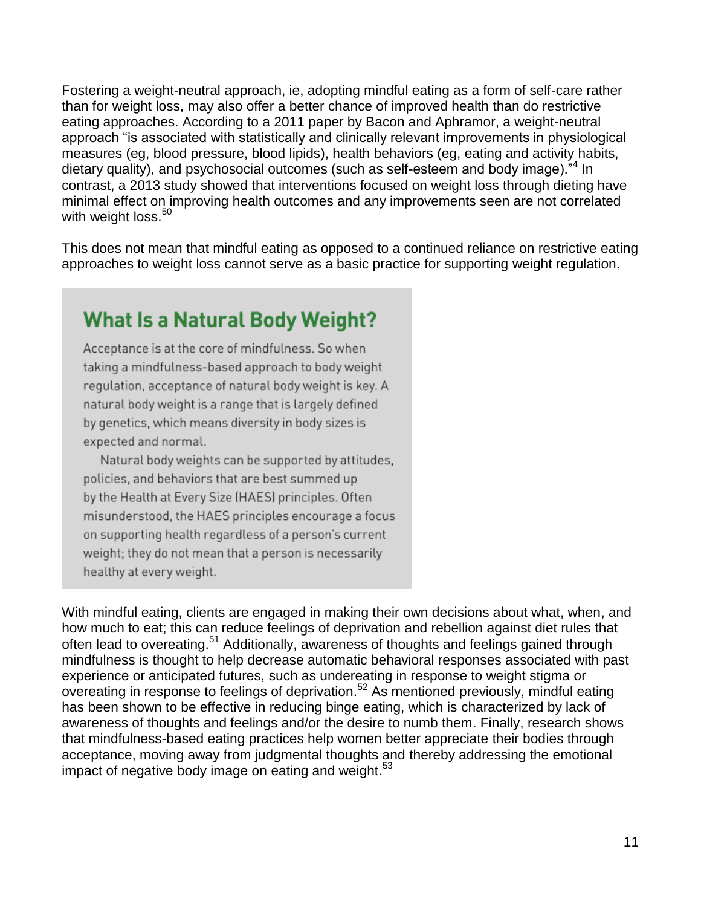Fostering a weight-neutral approach, ie, adopting mindful eating as a form of self-care rather than for weight loss, may also offer a better chance of improved health than do restrictive eating approaches. According to a 2011 paper by Bacon and Aphramor, a weight-neutral approach "is associated with statistically and clinically relevant improvements in physiological measures (eg, blood pressure, blood lipids), health behaviors (eg, eating and activity habits, dietary quality), and psychosocial outcomes (such as self-esteem and body image).<sup>"4</sup> In contrast, a 2013 study showed that interventions focused on weight loss through dieting have minimal effect on improving health outcomes and any improvements seen are not correlated with weight loss.<sup>50</sup>

This does not mean that mindful eating as opposed to a continued reliance on restrictive eating approaches to weight loss cannot serve as a basic practice for supporting weight regulation.

# **What Is a Natural Body Weight?**

Acceptance is at the core of mindfulness. So when taking a mindfulness-based approach to body weight regulation, acceptance of natural body weight is key. A natural body weight is a range that is largely defined by genetics, which means diversity in body sizes is expected and normal.

Natural body weights can be supported by attitudes, policies, and behaviors that are best summed up by the Health at Every Size (HAES) principles. Often misunderstood, the HAES principles encourage a focus on supporting health regardless of a person's current weight; they do not mean that a person is necessarily healthy at every weight.

With mindful eating, clients are engaged in making their own decisions about what, when, and how much to eat; this can reduce feelings of deprivation and rebellion against diet rules that often lead to overeating.<sup>51</sup> Additionally, awareness of thoughts and feelings gained through mindfulness is thought to help decrease automatic behavioral responses associated with past experience or anticipated futures, such as undereating in response to weight stigma or overeating in response to feelings of deprivation.<sup>52</sup> As mentioned previously, mindful eating has been shown to be effective in reducing binge eating, which is characterized by lack of awareness of thoughts and feelings and/or the desire to numb them. Finally, research shows that mindfulness-based eating practices help women better appreciate their bodies through acceptance, moving away from judgmental thoughts and thereby addressing the emotional impact of negative body image on eating and weight.<sup>53</sup>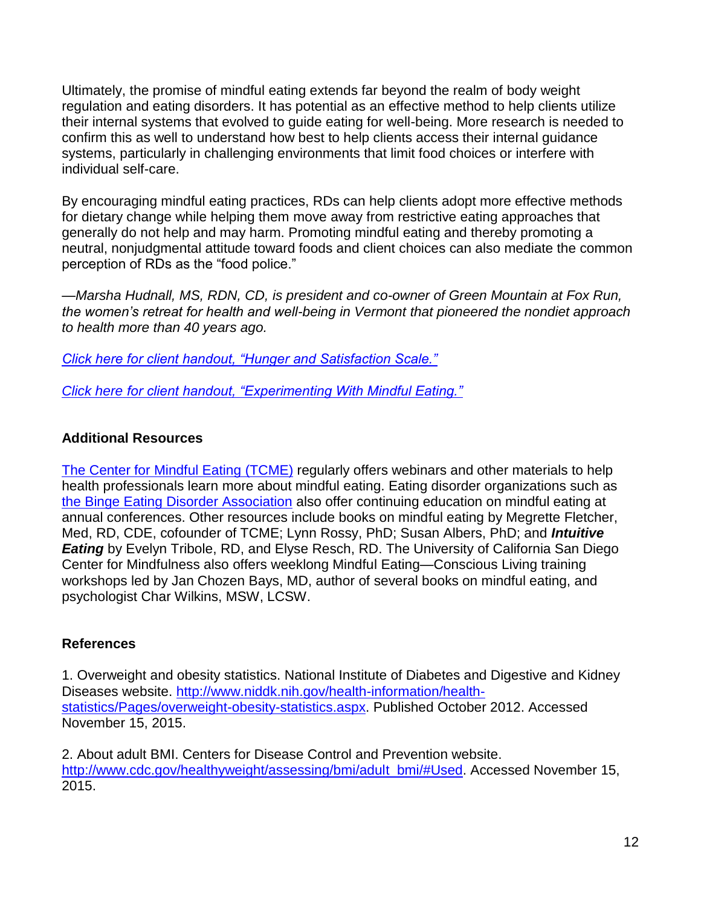Ultimately, the promise of mindful eating extends far beyond the realm of body weight regulation and eating disorders. It has potential as an effective method to help clients utilize their internal systems that evolved to guide eating for well-being. More research is needed to confirm this as well to understand how best to help clients access their internal guidance systems, particularly in challenging environments that limit food choices or interfere with individual self-care.

By encouraging mindful eating practices, RDs can help clients adopt more effective methods for dietary change while helping them move away from restrictive eating approaches that generally do not help and may harm. Promoting mindful eating and thereby promoting a neutral, nonjudgmental attitude toward foods and client choices can also mediate the common perception of RDs as the "food police."

*—Marsha Hudnall, MS, RDN, CD, is president and co-owner of Green Mountain at Fox Run, the women's retreat for health and well-being in Vermont that pioneered the nondiet approach to health more than 40 years ago.* 

*[Click here for client handout, "Hunger and Satisfaction Scale."](http://www.todaysdietitian.com/pdf/courses/HudnallMindfulnessHandout_1.pdf)*

*[Click here for client handout, "Experimenting With Mindful Eating."](http://www.todaysdietitian.com/pdf/courses/HudnallMindfulnessHandout_2.pdf)*

# **Additional Resources**

[The Center for Mindful Eating](http://www.thecenterformindfuleating.org/) (TCME) regularly offers webinars and other materials to help health professionals learn more about mindful eating. Eating disorder organizations such as [the Binge Eating Disorder Association](http://www.bedaonline.com/) also offer continuing education on mindful eating at annual conferences. Other resources include books on mindful eating by Megrette Fletcher, Med, RD, CDE, cofounder of TCME; Lynn Rossy, PhD; Susan Albers, PhD; and *Intuitive Eating* by Evelyn Tribole, RD, and Elyse Resch, RD. The University of California San Diego Center for Mindfulness also offers weeklong Mindful Eating—Conscious Living training workshops led by Jan Chozen Bays, MD, author of several books on mindful eating, and psychologist Char Wilkins, MSW, LCSW.

# **References**

1. Overweight and obesity statistics. National Institute of Diabetes and Digestive and Kidney Diseases website. [http://www.niddk.nih.gov/health-information/health](http://www.niddk.nih.gov/health-information/health-statistics/Pages/overweight-obesity-statistics.aspx)[statistics/Pages/overweight-obesity-statistics.aspx.](http://www.niddk.nih.gov/health-information/health-statistics/Pages/overweight-obesity-statistics.aspx) Published October 2012. Accessed November 15, 2015.

2. About adult BMI. Centers for Disease Control and Prevention website. [http://www.cdc.gov/healthyweight/assessing/bmi/adult\\_bmi/#Used.](http://www.cdc.gov/healthyweight/assessing/bmi/adult_bmi/#Used) Accessed November 15, 2015.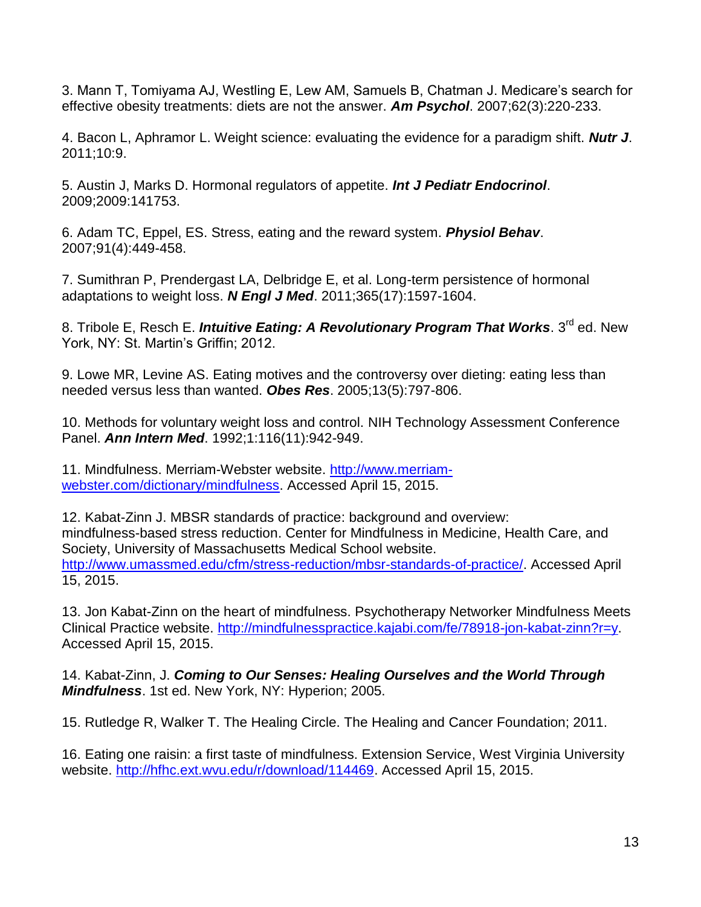3. Mann T, Tomiyama AJ, Westling E, Lew AM, Samuels B, Chatman J. Medicare's search for effective obesity treatments: diets are not the answer. *Am Psychol*. 2007;62(3):220-233.

4. Bacon L, Aphramor L. Weight science: evaluating the evidence for a paradigm shift. *Nutr J*. 2011;10:9.

5. Austin J, Marks D. Hormonal regulators of appetite. *Int J Pediatr Endocrinol*. 2009;2009:141753.

6. Adam TC, Eppel, ES. Stress, eating and the reward system. *Physiol Behav*. 2007;91(4):449-458.

7. Sumithran P, Prendergast LA, Delbridge E, et al. Long-term persistence of hormonal adaptations to weight loss. *N Engl J Med*. 2011;365(17):1597-1604.

8. Tribole E, Resch E. *Intuitive Eating: A Revolutionary Program That Works*. 3<sup>rd</sup> ed. New York, NY: St. Martin's Griffin; 2012.

9. Lowe MR, Levine AS. Eating motives and the controversy over dieting: eating less than needed versus less than wanted. *Obes Res*. 2005;13(5):797-806.

10. Methods for voluntary weight loss and control. NIH Technology Assessment Conference Panel. *Ann Intern Med*. 1992;1:116(11):942-949.

11. Mindfulness. Merriam-Webster website. [http://www.merriam](http://www.merriam-webster.com/dictionary/mindfulness)[webster.com/dictionary/mindfulness.](http://www.merriam-webster.com/dictionary/mindfulness) Accessed April 15, 2015.

12. Kabat-Zinn J. MBSR standards of practice: background and overview: mindfulness-based stress reduction. Center for Mindfulness in Medicine, Health Care, and Society, University of Massachusetts Medical School website. [http://www.umassmed.edu/cfm/stress-reduction/mbsr-standards-of-practice/.](http://www.umassmed.edu/cfm/stress-reduction/mbsr-standards-of-practice/) Accessed April 15, 2015.

13. Jon Kabat-Zinn on the heart of mindfulness. Psychotherapy Networker Mindfulness Meets Clinical Practice website. [http://mindfulnesspractice.kajabi.com/fe/78918-jon-kabat-zinn?r=y.](http://mindfulnesspractice.kajabi.com/fe/78918-jon-kabat-zinn?r=y) Accessed April 15, 2015.

14. Kabat-Zinn, J. *Coming to Our Senses: Healing Ourselves and the World Through Mindfulness*. 1st ed. New York, NY: Hyperion; 2005.

15. Rutledge R, Walker T. The Healing Circle. The Healing and Cancer Foundation; 2011.

16. Eating one raisin: a first taste of mindfulness. Extension Service, West Virginia University website. [http://hfhc.ext.wvu.edu/r/download/114469.](http://hfhc.ext.wvu.edu/r/download/114469) Accessed April 15, 2015.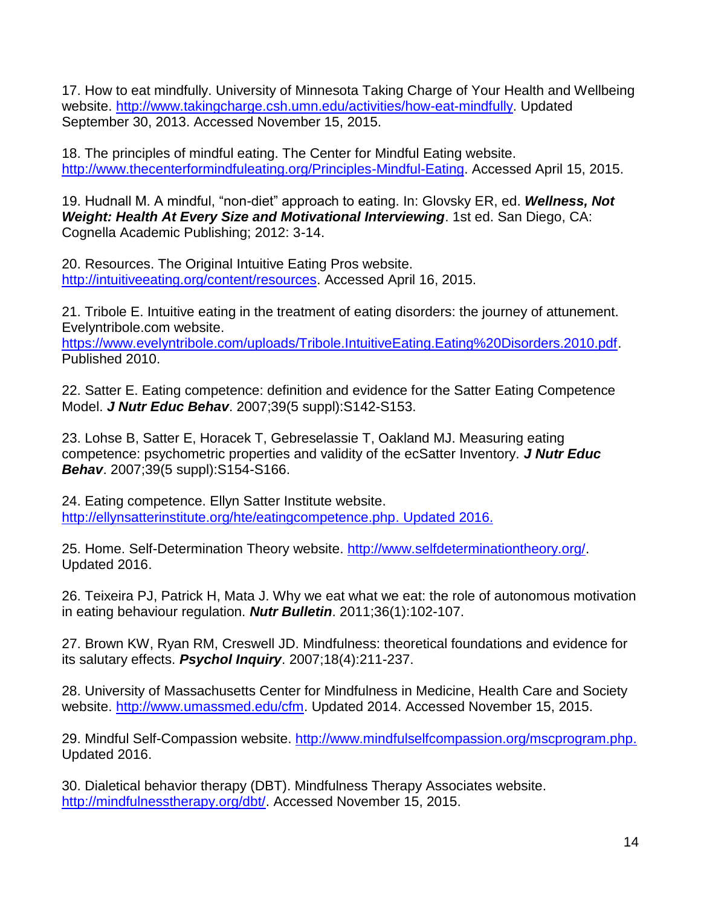17. How to eat mindfully. University of Minnesota Taking Charge of Your Health and Wellbeing website. [http://www.takingcharge.csh.umn.edu/activities/how-eat-mindfully.](http://www.takingcharge.csh.umn.edu/activities/how-eat-mindfully) Updated September 30, 2013. Accessed November 15, 2015.

18. The principles of mindful eating. The Center for Mindful Eating website. [http://www.thecenterformindfuleating.org/Principles-Mindful-Eating.](http://www.thecenterformindfuleating.org/Principles-Mindful-Eating) Accessed April 15, 2015.

19. Hudnall M. A mindful, "non-diet" approach to eating. In: Glovsky ER, ed. *Wellness, Not Weight: Health At Every Size and Motivational Interviewing*. 1st ed. San Diego, CA: Cognella Academic Publishing; 2012: 3-14.

20. Resources. The Original Intuitive Eating Pros website. [http://intuitiveeating.org/content/resources.](http://intuitiveeating.org/content/resources) Accessed April 16, 2015.

21. Tribole E. Intuitive eating in the treatment of eating disorders: the journey of attunement. Evelyntribole.com website.

[https://www.evelyntribole.com/uploads/Tribole.IntuitiveEating.Eating%20Disorders.2010.pdf.](https://www.evelyntribole.com/uploads/Tribole.IntuitiveEating.Eating%20Disorders.2010.pdf) Published 2010.

22. Satter E. Eating competence: definition and evidence for the Satter Eating Competence Model. *J Nutr Educ Behav*. 2007;39(5 suppl):S142-S153.

23. Lohse B, Satter E, Horacek T, Gebreselassie T, Oakland MJ. Measuring eating competence: psychometric properties and validity of the ecSatter Inventory. *J Nutr Educ Behav*. 2007;39(5 suppl):S154-S166.

24. Eating competence. Ellyn Satter Institute website. [http://ellynsatterinstitute.org/hte/eatingcompetence.php.](http://ellynsatterinstitute.org/hte/eatingcompetence.php) Updated 2016.

25. Home. Self-Determination Theory website. [http://www.selfdeterminationtheory.org/.](http://www.selfdeterminationtheory.org/) Updated 2016.

26. Teixeira PJ, Patrick H, Mata J. Why we eat what we eat: the role of autonomous motivation in eating behaviour regulation. *Nutr Bulletin*. 2011;36(1):102-107.

27. Brown KW, Ryan RM, Creswell JD. Mindfulness: theoretical foundations and evidence for its salutary effects. *Psychol Inquiry*. 2007;18(4):211-237.

28. University of Massachusetts Center for Mindfulness in Medicine, Health Care and Society website. [http://www.umassmed.edu/cfm.](http://www.umassmed.edu/cfm) Updated 2014. Accessed November 15, 2015.

29. Mindful Self-Compassion website. [http://www.mindfulselfcompassion.org/mscprogram.php.](http://www.mindfulselfcompassion.org/mscprogram.php) Updated 2016.

30. Dialetical behavior therapy (DBT). Mindfulness Therapy Associates website. [http://mindfulnesstherapy.org/dbt/.](http://mindfulnesstherapy.org/dbt/) Accessed November 15, 2015.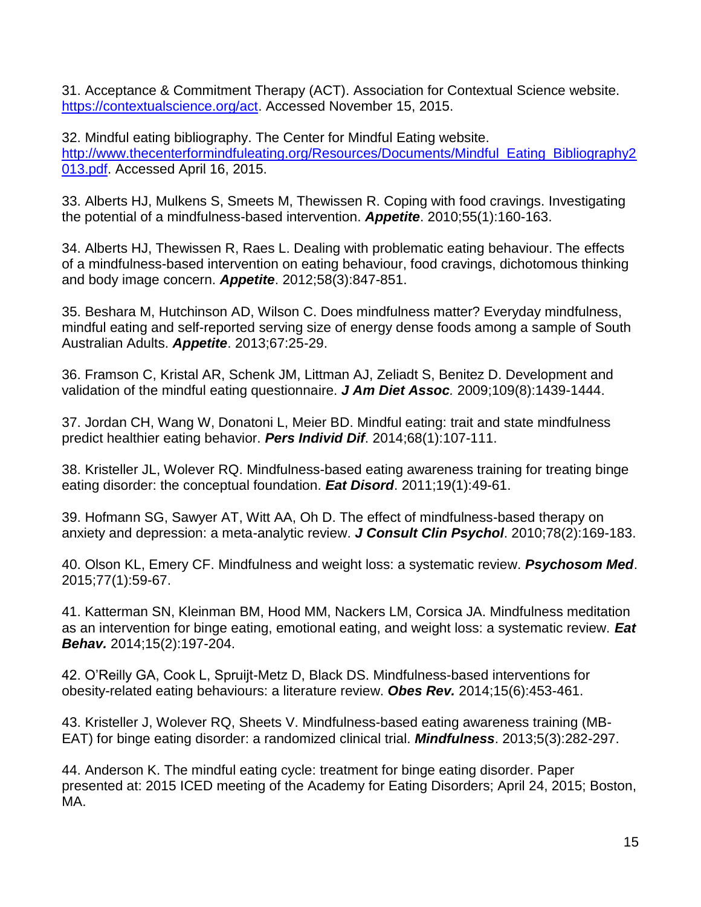31. Acceptance & Commitment Therapy (ACT). Association for Contextual Science website. [https://contextualscience.org/act.](https://contextualscience.org/act) Accessed November 15, 2015.

32. Mindful eating bibliography. The Center for Mindful Eating website. [http://www.thecenterformindfuleating.org/Resources/Documents/Mindful\\_Eating\\_Bibliography2](http://www.thecenterformindfuleating.org/Resources/Documents/Mindful_Eating_Bibliography2013.pdf) [013.pdf.](http://www.thecenterformindfuleating.org/Resources/Documents/Mindful_Eating_Bibliography2013.pdf) Accessed April 16, 2015.

33. Alberts HJ, Mulkens S, Smeets M, Thewissen R. Coping with food cravings. Investigating the potential of a mindfulness-based intervention. *Appetite*. 2010;55(1):160-163.

34. Alberts HJ, Thewissen R, Raes L. Dealing with problematic eating behaviour. The effects of a mindfulness-based intervention on eating behaviour, food cravings, dichotomous thinking and body image concern. *Appetite*. 2012;58(3):847-851.

35. Beshara M, Hutchinson AD, Wilson C. Does mindfulness matter? Everyday mindfulness, mindful eating and self-reported serving size of energy dense foods among a sample of South Australian Adults. *Appetite*. 2013;67:25-29.

36. Framson C, Kristal AR, Schenk JM, Littman AJ, Zeliadt S, Benitez D. Development and validation of the mindful eating questionnaire. *J Am Diet Assoc.* 2009;109(8):1439-1444.

37. Jordan CH, Wang W, Donatoni L, Meier BD. Mindful eating: trait and state mindfulness predict healthier eating behavior. *Pers Individ Dif*. 2014;68(1):107-111.

38. Kristeller JL, Wolever RQ. Mindfulness-based eating awareness training for treating binge eating disorder: the conceptual foundation. *Eat Disord*. 2011;19(1):49-61.

39. Hofmann SG, Sawyer AT, Witt AA, Oh D. The effect of mindfulness-based therapy on anxiety and depression: a meta-analytic review. *J Consult Clin Psychol*. 2010;78(2):169-183.

40. Olson KL, Emery CF. Mindfulness and weight loss: a systematic review. *Psychosom Med*. 2015;77(1):59-67.

41. Katterman SN, Kleinman BM, Hood MM, Nackers LM, Corsica JA. Mindfulness meditation as an intervention for binge eating, emotional eating, and weight loss: a systematic review. *Eat Behav.* 2014;15(2):197-204.

42. O'Reilly GA, Cook L, Spruijt-Metz D, Black DS. Mindfulness-based interventions for obesity-related eating behaviours: a literature review. *Obes Rev.* 2014;15(6):453-461.

43. Kristeller J, Wolever RQ, Sheets V. Mindfulness-based eating awareness training (MB-EAT) for binge eating disorder: a randomized clinical trial. *Mindfulness*. 2013;5(3):282-297.

44. Anderson K. The mindful eating cycle: treatment for binge eating disorder. Paper presented at: 2015 ICED meeting of the Academy for Eating Disorders; April 24, 2015; Boston, MA.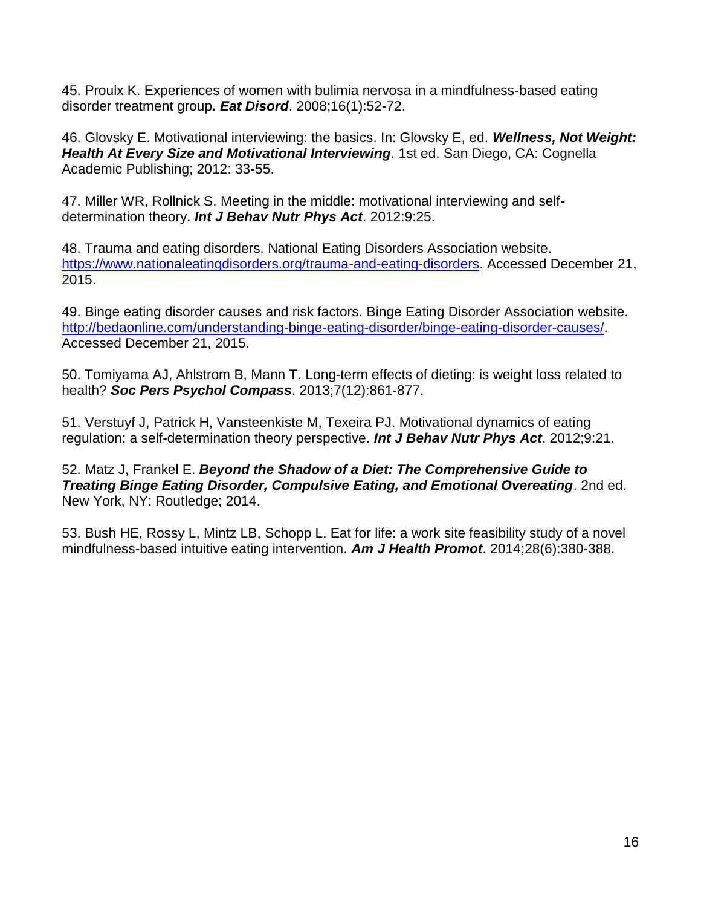45. Proulx K. Experiences of women with bulimia nervosa in a mindfulness-based eating disorder treatment group*. Eat Disord*. 2008;16(1):52-72.

46. Glovsky E. Motivational interviewing: the basics. In: Glovsky E, ed. *Wellness, Not Weight: Health At Every Size and Motivational Interviewing*. 1st ed. San Diego, CA: Cognella Academic Publishing; 2012: 33-55.

47. Miller WR, Rollnick S. Meeting in the middle: motivational interviewing and selfdetermination theory. *Int J Behav Nutr Phys Act*. 2012:9:25.

48. Trauma and eating disorders. National Eating Disorders Association website. [https://www.nationaleatingdisorders.org/trauma-and-eating-disorders.](https://www.nationaleatingdisorders.org/trauma-and-eating-disorders) Accessed December 21, 2015.

49. Binge eating disorder causes and risk factors. Binge Eating Disorder Association website. [http://bedaonline.com/understanding-binge-eating-disorder/binge-eating-disorder-causes/.](http://bedaonline.com/understanding-binge-eating-disorder/binge-eating-disorder-causes/) Accessed December 21, 2015.

50. Tomiyama AJ, Ahlstrom B, Mann T. Long-term effects of dieting: is weight loss related to health? *Soc Pers Psychol Compass*. 2013;7(12):861-877.

51. Verstuyf J, Patrick H, Vansteenkiste M, Texeira PJ. Motivational dynamics of eating regulation: a self-determination theory perspective. *Int J Behav Nutr Phys Act*. 2012;9:21.

52. Matz J, Frankel E. *Beyond the Shadow of a Diet: The Comprehensive Guide to Treating Binge Eating Disorder, Compulsive Eating, and Emotional Overeating*. 2nd ed. New York, NY: Routledge; 2014.

53. Bush HE, Rossy L, Mintz LB, Schopp L. Eat for life: a work site feasibility study of a novel mindfulness-based intuitive eating intervention. *Am J Health Promot*. 2014;28(6):380-388.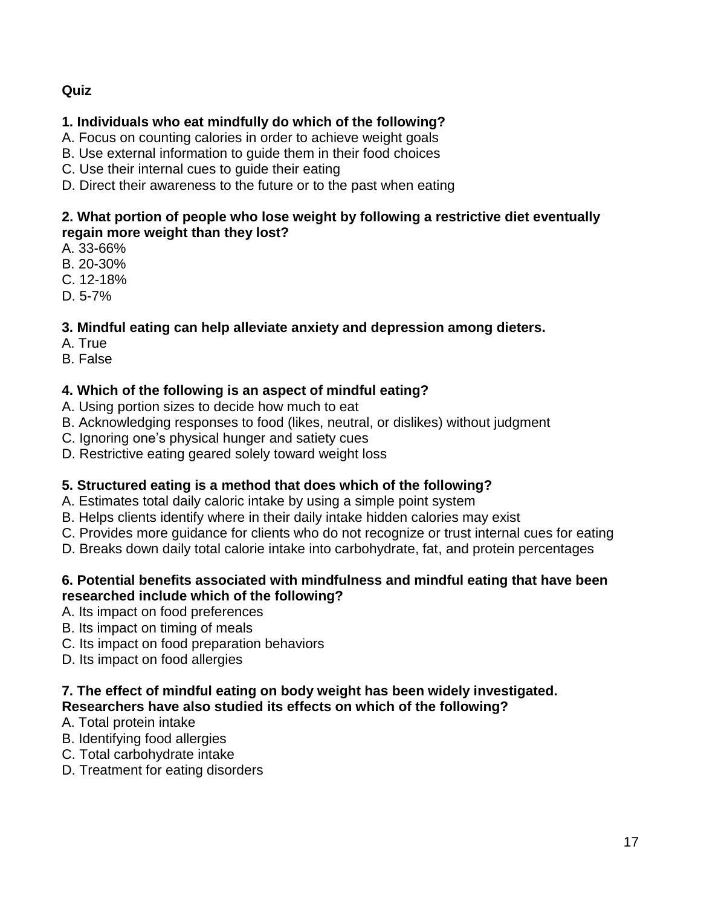# **Quiz**

# **1. Individuals who eat mindfully do which of the following?**

- A. Focus on counting calories in order to achieve weight goals
- B. Use external information to guide them in their food choices
- C. Use their internal cues to guide their eating
- D. Direct their awareness to the future or to the past when eating

## **2. What portion of people who lose weight by following a restrictive diet eventually regain more weight than they lost?**

- A. 33-66%
- B. 20-30%
- C. 12-18%
- D. 5-7%

# **3. Mindful eating can help alleviate anxiety and depression among dieters.**

- A. True
- B. False

# **4. Which of the following is an aspect of mindful eating?**

- A. Using portion sizes to decide how much to eat
- B. Acknowledging responses to food (likes, neutral, or dislikes) without judgment
- C. Ignoring one's physical hunger and satiety cues
- D. Restrictive eating geared solely toward weight loss

# **5. Structured eating is a method that does which of the following?**

- A. Estimates total daily caloric intake by using a simple point system
- B. Helps clients identify where in their daily intake hidden calories may exist
- C. Provides more guidance for clients who do not recognize or trust internal cues for eating
- D. Breaks down daily total calorie intake into carbohydrate, fat, and protein percentages

## **6. Potential benefits associated with mindfulness and mindful eating that have been researched include which of the following?**

- A. Its impact on food preferences
- B. Its impact on timing of meals
- C. Its impact on food preparation behaviors
- D. Its impact on food allergies

## **7. The effect of mindful eating on body weight has been widely investigated. Researchers have also studied its effects on which of the following?**

- A. Total protein intake
- B. Identifying food allergies
- C. Total carbohydrate intake
- D. Treatment for eating disorders